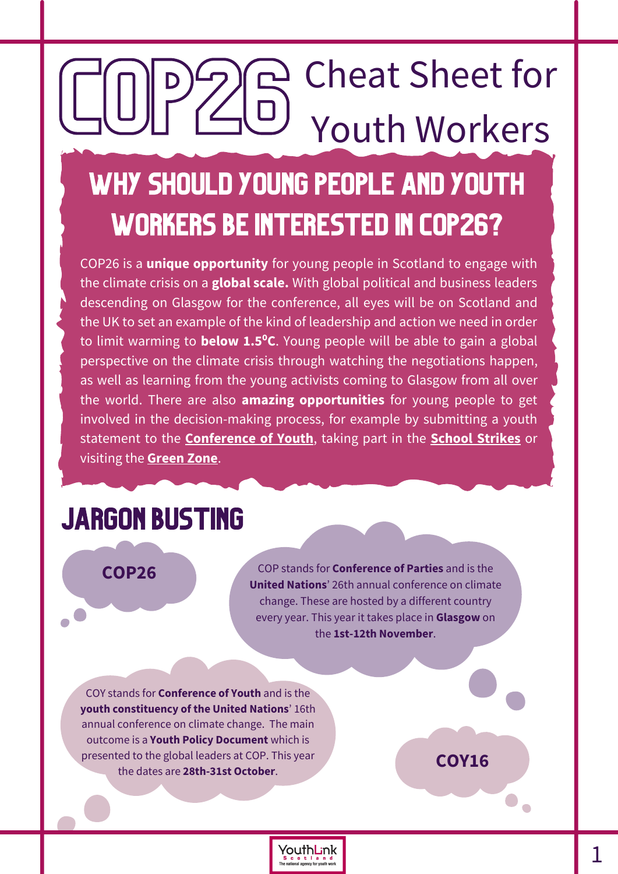# COP26 Che Cheat Sheet for Youth Workers Why should young people and youth

### workers be interested in COP26?

COP26 is a **unique opportunity** for young people in Scotland to engage with the climate crisis on a **global scale.** With global political and business leaders descending on Glasgow for the conference, all eyes will be on Scotland and the UK to set an example of the kind of leadership and action we need in order to limit warming to **below 1.5⁰C**. Young people will be able to gain a global perspective on the climate crisis through watching the negotiations happen, as well as learning from the young activists coming to Glasgow from all over the world. There are also **amazing opportunities** for young people to get involved in the decision-making process, for example by submitting a youth statement to the **[Conference](https://ukcoy16.org/global-youth-statement) of Youth**[,](https://ukcoy16.org/global-youth-statement) taking part in the **School [Strikes](https://climatestrike.scot/strike/)** or visiting the **[Green](https://ukcop26.org/the-conference/green-zone-programme-of-events/) Zone**.

> YouthLink **c c l a n d**<br>onal agency for youth work

### JARGON BUSTING

#### **COP26**

COP stands for **Conference of Parties** and is the **United Nations**' 26th annual conference on climate change. These are hosted by a different country every year. This year it takes place in **Glasgow** on the **1st-12th November**.

COY stands for **Conference of Youth** and is the **youth constituency of the United Nations**' 16th annual conference on climate change. The main outcome is a **Youth Policy Document** which is presented to the global leaders at COP. This year the dates are **28th-31st October**.

**COY16**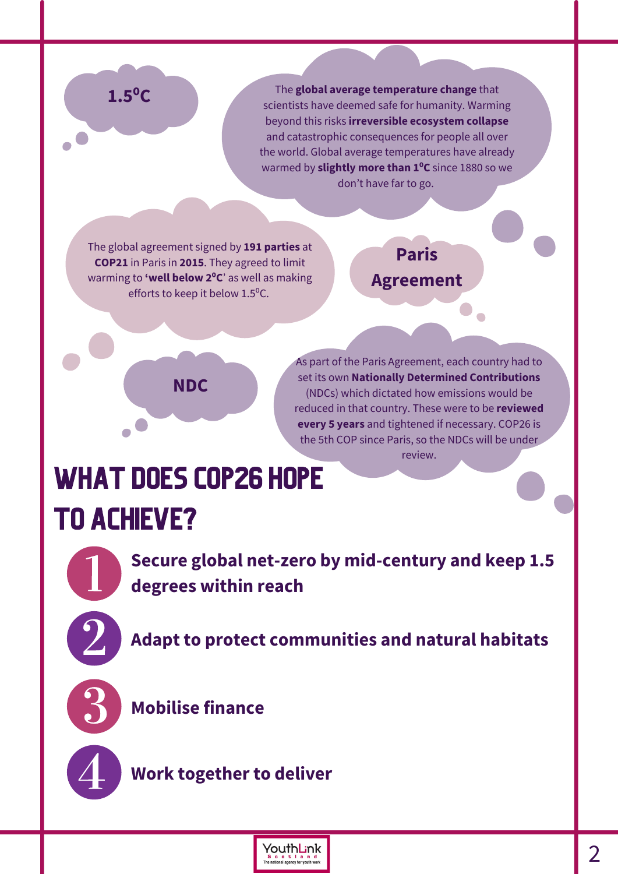#### **1.5⁰C**

The **global average temperature change** that scientists have deemed safe for humanity. Warming beyond this risks **irreversible ecosystem collapse** and catastrophic consequences for people all over the world. Global average temperatures have already warmed by **slightly more than 1⁰C** since 1880 so we don't have far to go.

The global agreement signed by **191 parties** at **COP21** in Paris in **2015**. They agreed to limit warming to **'well below 2⁰C**' as well as making efforts to keep it below 1.5<sup>o</sup>C.

#### **Paris Agreement**



As part of the Paris Agreement, each country had to set its own **Nationally Determined Contributions** (NDCs) which dictated how emissions would be reduced in that country. These were to be **reviewed every 5 years** and tightened if necessary. COP26 is the 5th COP since Paris, so the NDCs will be under review.

### WHAT DOES COP26 HOPE TO ACHIEVE?

**Secure global net-zero by mid-century and keep 1.5 degrees within reach**

**Adapt to protect communities and natural habitats**



**Mobilise finance**

**Work together to deliver**